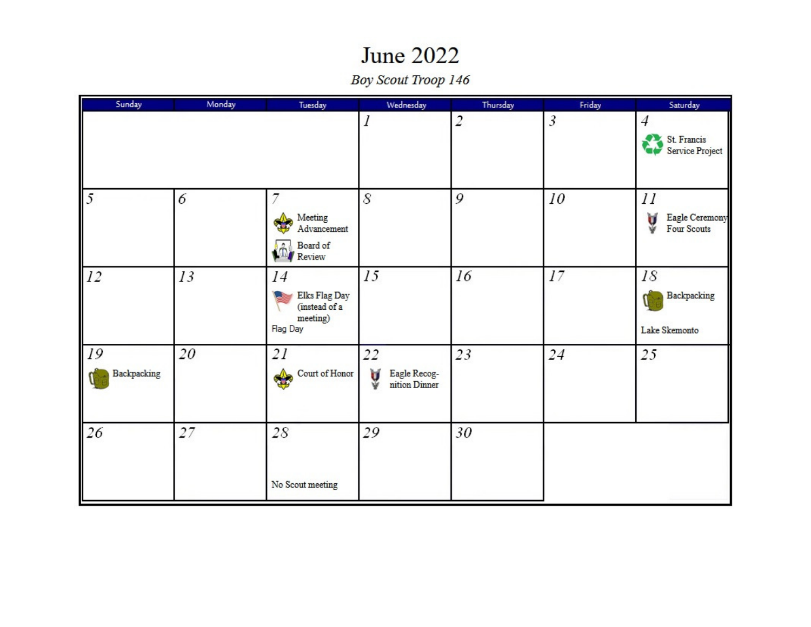## **June 2022**

Boy Scout Troop 146

| Sunday            | Monday | Tuesday                                                      | Wednesday                                | Thursday       | Friday | Saturday                                         |
|-------------------|--------|--------------------------------------------------------------|------------------------------------------|----------------|--------|--------------------------------------------------|
|                   |        |                                                              | 1                                        | $\overline{c}$ | 3      | $\overline{4}$<br>St. Francis<br>Service Project |
| $\mathfrak{I}$    | 6      | 7<br>Meeting<br>Advancement<br>Board of<br>Review            | 8                                        | 9              | 10     | $_{II}$<br>Eagle Ceremony<br>Ų<br>Four Scouts    |
| 12                | 13     | 14<br>Elks Flag Day<br>(instead of a<br>meeting)<br>Flag Day | 15                                       | 16             | 17     | 18<br>Backpacking<br>Lake Skemonto               |
| 19<br>Backpacking | 20     | 2I<br>Court of Honor                                         | 22<br>Eagle Recog-<br>Ų<br>nition Dinner | 23             | 24     | 25                                               |
| 26                | 27     | 28<br>No Scout meeting                                       | 29                                       | 30             |        |                                                  |